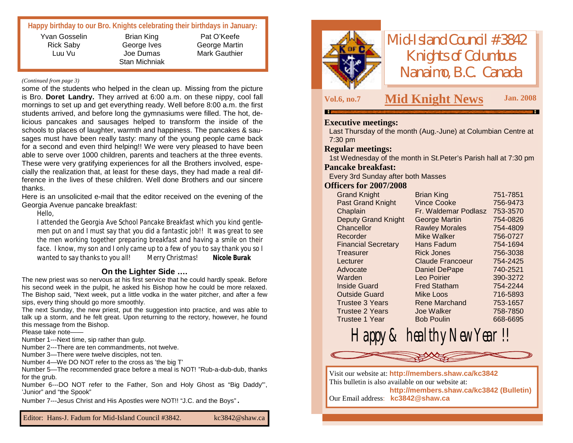## **Happy birthday to our Bro. Knights celebrating their birthdays in January:**

Yvan Gosselin Rick Saby Luu Vu

Brian King George Ives Joe Dumas Stan Michniak

Pat O'Keefe George Martin Mark Gauthier

#### *(Continued from page 3)*

some of the students who helped in the clean up. Missing from the picture is Bro. **Doret Landry.** They arrived at 6:00 a.m. on these nippy, cool fall mornings to set up and get everything ready. Well before 8:00 a.m. the first students arrived, and before long the gymnasiums were filled. The hot, delicious pancakes and sausages helped to transform the inside of the schools to places of laughter, warmth and happiness. The pancakes & sausages must have been really tasty: many of the young people came back for a second and even third helping!! We were very pleased to have been able to serve over 1000 children, parents and teachers at the three events. These were very gratifying experiences for all the Brothers involved, especially the realization that, at least for these days, they had made a real difference in the lives of these children. Well done Brothers and our sincere thanks.

Here is an unsolicited e-mail that the editor received on the evening of the Georgia Avenue pancake breakfast:

*Hello,*

*I attended the Georgia Ave School Pancake Breakfast which you kind gentlemen put on and I must say that you did a fantastic job!! It was great to see the men working together preparing breakfast and having a smile on their face. I know, my son and I only came up to a few of you to say thank you so I wanted to say thanks to you all! Merry Christmas*! *Nicole Burak*

### **On the Lighter Side ….**

The new priest was so nervous at his first service that he could hardly speak. Before his second week in the pulpit, he asked his Bishop how he could be more relaxed. The Bishop said, "Next week, put a little vodka in the water pitcher, and after a few sips, every thing should go more smoothly.

The next Sunday, the new priest, put the suggestion into practice, and was able to talk up a storm, and he felt great. Upon returning to the rectory, however, he found this message from the Bishop.

Please take note——

Number 1---Next time, sip rather than gulp.

Number 2---There are ten commandments, not twelve.

Number 3—There were twelve disciples, not ten.

Number 4—We DO NOT refer to the cross as 'the big T'

Number 5—The recommended grace before a meal is NOT! "Rub-a-dub-dub, thanks for the grub.

Number 6---DO NOT refer to the Father, Son and Holy Ghost as "Big Daddy"', 'Junior" and "the Spook"

Number 7---Jesus Christ and His Apostles were NOT!! "J.C. and the Boys".



*Mid-Island Council #3842 Knights of Columbus Nanaimo, B.C. Canada*

# **Vol.6, no.7 M Jan. <sup>2008</sup> id Knight News**

### **Executive meetings:**

Last Thursday of the month (Aug.-June) at Columbian Centre at 7:30 pm

#### **Regular meetings:**

1st Wednesday of the month in St.Peter's Parish hall at 7:30 pm

#### **Pancake breakfast:**

Every 3rd Sunday after both Masses

#### **Officers for 2007/2008**

| <b>Grand Knight</b>        | Brian King            | 751-7851 |
|----------------------------|-----------------------|----------|
| <b>Past Grand Knight</b>   | <b>Vince Cooke</b>    | 756-9473 |
| Chaplain                   | Fr. Waldemar Podlasz  | 753-3570 |
| <b>Deputy Grand Knight</b> | <b>George Martin</b>  | 754-0826 |
| Chancellor                 | <b>Rawley Morales</b> | 754-4809 |
| Recorder                   | Mike Walker           | 756-0727 |
| <b>Financial Secretary</b> | Hans Fadum            | 754-1694 |
| Treasurer                  | <b>Rick Jones</b>     | 756-3038 |
| Lecturer                   | Claude Francoeur      | 754-2425 |
| Advocate                   | <b>Daniel DePape</b>  | 740-2521 |
| Warden                     | Leo Poirier           | 390-3272 |
| <b>Inside Guard</b>        | <b>Fred Statham</b>   | 754-2244 |
| <b>Outside Guard</b>       | <b>Mike Loos</b>      | 716-5893 |
| <b>Trustee 3 Years</b>     | Rene Marchand         | 753-1657 |
| <b>Trustee 2 Years</b>     | Joe Walker            | 758-7850 |
| Trustee 1 Year             | <b>Bob Poulin</b>     | 668-6695 |



Happy & healthy New Year !!

Visit our website at: **<http://members.shaw.ca/kc3842>** This bulletin is also available on our website at:

**<http://members.shaw.ca/kc3842> (Bulletin)** Our Email address: **[kc3842@shaw.ca](mailto:kc3842@shaw.ca)**